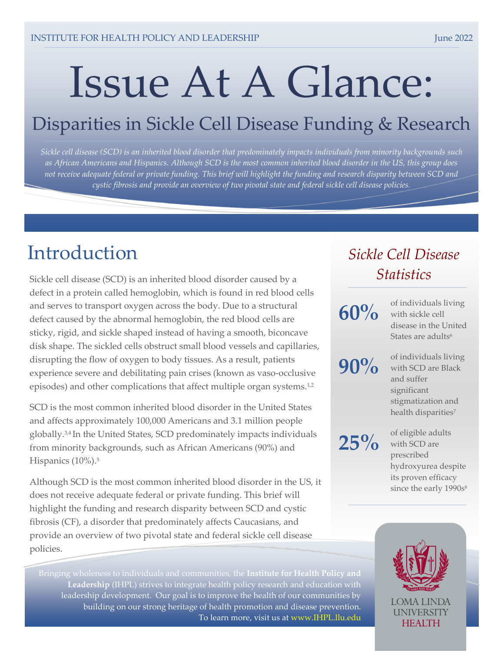# Issue At A Glance:

## Disparities in Sickle Cell Disease Funding & Research

*Sickle cell disease (SCD) is an inherited blood disorder that predominately impacts individuals from minority backgrounds such as African Americans and Hispanics. Although SCD is the most common inherited blood disorder in the US, this group does not receive adequate federal or private funding. This brief will highlight the funding and research disparity between SCD and cystic fibrosis and provide an overview of two pivotal state and federal sickle cell disease policies.*

## Introduction

Sickle cell disease (SCD) is an inherited blood disorder caused by a defect in a protein called hemoglobin, which is found in red blood cells and serves to transport oxygen across the body. Due to a structural defect caused by the abnormal hemoglobin, the red blood cells are sticky, rigid, and sickle shaped instead of having a smooth, biconcave disk shape. The sickled cells obstruct small blood vessels and capillaries, disrupting the flow of oxygen to body tissues. As a result, patients experience severe and debilitating pain crises (known as vaso-occlusive episodes) and other complications that affect multiple organ systems.<sup>1,2</sup>

SCD is the most common inherited blood disorder in the United States and affects approximately 100,000 Americans and 3.1 million people globally. 3,4 In the United States, SCD predominately impacts individuals from minority backgrounds, such as African Americans (90%) and Hispanics (10%). 5

Although SCD is the most common inherited blood disorder in the US, it does not receive adequate federal or private funding. This brief will highlight the funding and research disparity between SCD and cystic fibrosis (CF), a disorder that predominately affects Caucasians, and provide an overview of two pivotal state and federal sickle cell disease policies.

**Leadership** (IHPL) strives to integrate health policy research and education with leadership development. Our goal is to improve the health of our communities by building on our strong heritage of health promotion and disease prevention. To learn more, visit us at [www.IHPL.llu.edu](http://www.ihpl.llu.edu/)

## *Sickle Cell Disease Statistics*

## **60%**

of individuals living with sickle cell disease in the United States are adults<sup>6</sup>

**90%**

of individuals living with SCD are Black and suffer significant stigmatization and health disparities<sup>7</sup>

**25%**

of eligible adults with SCD are prescribed hydroxyurea despite its proven efficacy since the early 1990s<sup>8</sup>

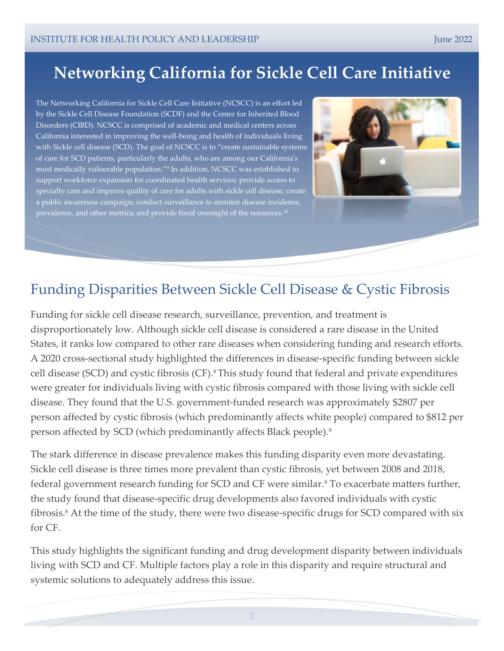## **Networking California for Sickle Cell Care Initiative**

The Networking California for Sickle Cell Care Initiative (NCSCC) is an effort led by the Sickle Cell Disease Foundation (SCDF) and the Center for Inherited Blood Disorders (CIBD). NCSCC is comprised of academic and medical centers across California interested in improving the well-being and health of individuals living with Sickle cell disease (SCD). The goal of NCSCC is to "create sustainable systems of care for SCD patients, particularly the adults, who are among our California's most medically vulnerable population." 9 In addition, NCSCC was established to support workforce expansion for coordinated health services; provide access to specialty care and improve quality of care for adults with sickle cell disease; create a public awareness campaign; conduct surveillance to monitor disease incidence, prevalence, and other metrics; and provide fiscal oversight of the resources.<sup>10</sup>



## Funding Disparities Between Sickle Cell Disease & Cystic Fibrosis

 A 2020 cross-sectional study highlighted the differences in disease-specific funding between sickle person affected by SCD (which predominantly affects Black people).<sup>8</sup> Funding for sickle cell disease research, surveillance, prevention, and treatment is disproportionately low. Although sickle cell disease is considered a rare disease in the United States, it ranks low compared to other rare diseases when considering funding and research efforts. cell disease (SCD) and cystic fibrosis (CF).8This study found that federal and private expenditures were greater for individuals living with cystic fibrosis compared with those living with sickle cell disease. They found that the U.S. government-funded research was approximately \$2807 per person affected by cystic fibrosis (which predominantly affects white people) compared to \$812 per

The stark difference in disease prevalence makes this funding disparity even more devastating. Sickle cell disease is three times more prevalent than cystic fibrosis, yet between 2008 and 2018, federal government research funding for SCD and CF were similar.<sup>8</sup> To exacerbate matters further, the study found that disease-specific drug developments also favored individuals with cystic fibrosis.<sup>8</sup> At the time of the study, there were two disease-specific drugs for SCD compared with six for CF.

This study highlights the significant funding and drug development disparity between individuals living with SCD and CF. Multiple factors play a role in this disparity and require structural and systemic solutions to adequately address this issue.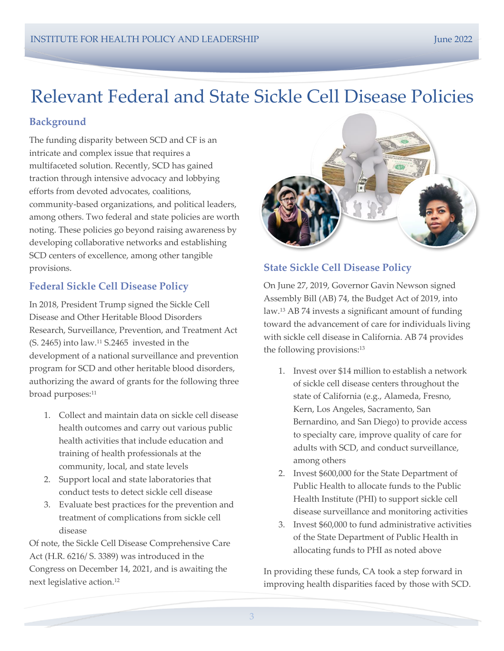## Relevant Federal and State Sickle Cell Disease Policies

#### **Background**

The funding disparity between SCD and CF is an intricate and complex issue that requires a multifaceted solution. Recently, SCD has gained traction through intensive advocacy and lobbying efforts from devoted advocates, coalitions, community-based organizations, and political leaders, among others. Two federal and state policies are worth noting. These policies go beyond raising awareness by developing collaborative networks and establishing SCD centers of excellence, among other tangible provisions.

#### **Federal Sickle Cell Disease Policy**

In 2018, President Trump signed the Sickle Cell Disease and Other Heritable Blood Disorders Research, Surveillance, Prevention, and Treatment Act (S. 2465) into law.<sup>11</sup> S.2465 invested in the development of a national surveillance and prevention program for SCD and other heritable blood disorders, authorizing the award of grants for the following three broad purposes:<sup>11</sup>

- 1. Collect and maintain data on sickle cell disease health outcomes and carry out various public health activities that include education and training of health professionals at the community, local, and state levels
- 2. Support local and state laboratories that conduct tests to detect sickle cell disease
- 3. Evaluate best practices for the prevention and treatment of complications from sickle cell disease

Of note, the Sickle Cell Disease Comprehensive Care Act (H.R. 6216/ S. 3389) was introduced in the Congress on December 14, 2021, and is awaiting the next legislative action. 12



#### **State Sickle Cell Disease Policy**

On June 27, 2019, Governor Gavin Newson signed Assembly Bill (AB) 74, the Budget Act of 2019, into law.<sup>13</sup> AB 74 invests a significant amount of funding toward the advancement of care for individuals living with sickle cell disease in California. AB 74 provides the following provisions: 13

- 1. Invest over \$14 million to establish a network of sickle cell disease centers throughout the state of California (e.g., Alameda, Fresno, Kern, Los Angeles, Sacramento, San Bernardino, and San Diego) to provide access to specialty care, improve quality of care for adults with SCD, and conduct surveillance, among others
- 2. Invest \$600,000 for the State Department of Public Health to allocate funds to the Public Health Institute (PHI) to support sickle cell disease surveillance and monitoring activities
- 3. Invest \$60,000 to fund administrative activities of the State Department of Public Health in allocating funds to PHI as noted above

In providing these funds, CA took a step forward in improving health disparities faced by those with SCD.